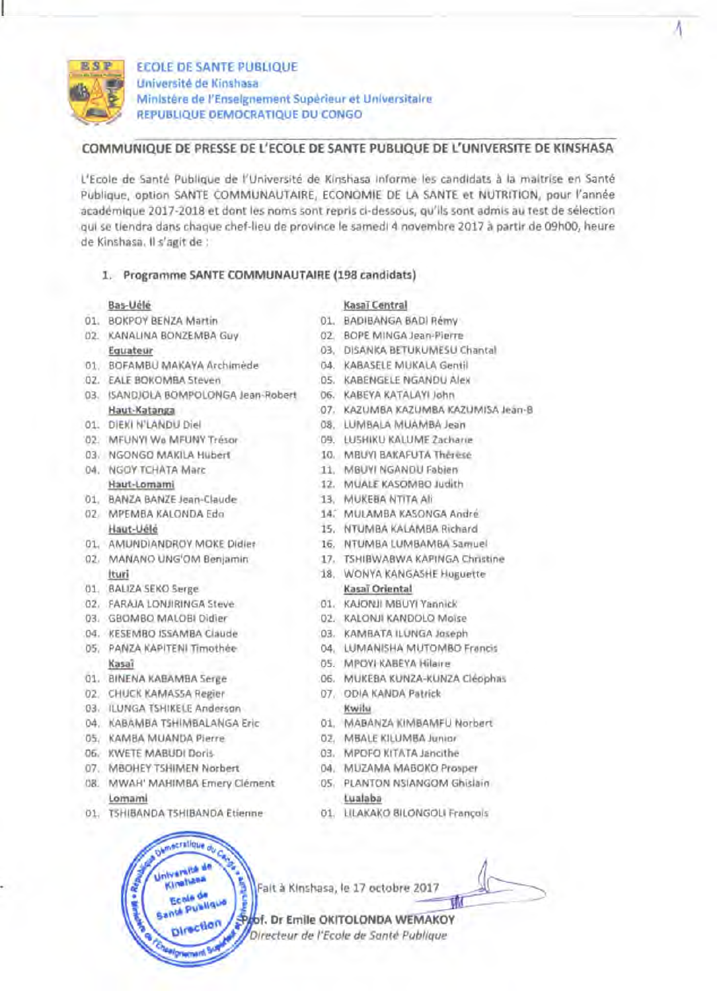

l

ECOLE DE SANTE PUBLIQUE unlverslte de Kinshasa Ministere de l'Enseignement Superieur et Universitaire REPUBLIQUE DEMOCRATIQUE DU CONGO

## COMMUNIQUE DE PRESSE DE L'ECOLE DE SANTE PUBLIQUE DE L'UNIVERSITE DE KINSHASA

L'Ecole de Sante Publique de l'Universite de Kinshasa informe les candidats a la maitrise en Sante Publique, option SANTE COMMUNAUTAIRE, ECONOMIE DE LA SANTE et NUTRITION, pour l'annee acadernique 2017-2018 et dont les noms sont repris ci-dessous, qu'ils sont admis au test de selection qui se tiendra dans chaque chef-lieu de province Ie samedi 4 novembre 2017 a partir de 09hOO, heure de Kinshasa. II s'agit de :

### 1. Programme SANTE COMMUNAUTAIRE (198 candidats)

- 
- 
- Ol. BOFAMBU MAKAYA Archimede 04. KABASELE MUKALA Gentil
- 
- 03. ISANDJOLA BOMPOLONGA Jean-Robert 06. KABEYA KATALAYI John
- 
- 
- 
- 
- 01. BANZA BANZE Jean-Claude 13. MUKEBA NTITA Ali
- 
- Ol. AMUNDIANDROY MOKE Didier 16. NTUMBA LUMBAMBA Samuel
- 
- 01. BALIZA SEKO Serge Kasaï Oriental
- 02. FARAJA LONJIRINGA Steve 01. KAJONJI MBUYI Yannick
- 
- 
- Kasaî DS. MPOYI KABEYA Hilaire
- 
- 02. CHUCK KAMASSA Regier 07. ODIA KANDA Patrick
- 03. ILUNGA TSHIKELE Anderson Kwilu
- 
- 05. KAMBA MUANDA Pierre 02. MBALE KILUMBA Junior
- 
- 
- OS. MWAH' MAHIMBA Emery Clement OS. PLANTON NSIANGOM Ghislain lomami lualaba

-ration.

**Ecole** de **Ecole de**<br>Inté Publique

Université de Kinghass

ole

01. TSHIBANDA TSHIBANDA Etienne 01. ULAKAKO BILONGOU Francois

# Bas-Uele Kasai Central

- 01. BOKPOY BENZA Martin 01. BADIBANGA BADI Remy
- 02. KANAUNA BONZEMBA Guy 02. BOPE MINGA Jean-Pierre
	- Eguateur 03, DISANKA BETUKUMESU Chantal
		-
- 02. EALE BOKOMBA Steven ... 05. KABENGELE NGANDU Alex
	-
	- Haut-Katanga 07. KAZUMBA KAZUMBA KAZUMISA Jean-B
- 01. DIEKI N'LANDU Diel 08. LUMBALA MUAMBA Jean
- 02. MFUNYI Wa MFUNY Tresor 09. LUSHIKU KALUME Zacharie
- 03. NGONGO MAKILA Hubert 10. MBUYI BAKAFUTA Therese
- 04. NGOY TCHATA Marc 11. MBUYI NGANDU Fabien
	- Haut-lomami 12. MUALE KASOMBO Judith
		-
- 02. MPEMBA KAlONDA Edo 14: MULAMBA KASONGA Andre
	- Haut-Uélé 15. NTUMBA KALAMBA Richard
		-
- 02. MANANO UNG'OM Benjamin 17. TSHIBWABWA KAPINGA Christine
	- Ituri 18. WONYA KANGASHE Huguette
		-
		-
- 03. GBOMBO MALOBI Didier 02. KALONJI KANDOLO Moise
- 04. KESEMBO ISSAMBA Claude 03. KAMBATA ILUNGA Joseph
- OS. PANZA KAPITENI Timothee 04. LUMANISHA MUTOMBO Francis
	-
- 01. BINENA KABAMBA Serge 06. MUKEBA KUNZA-KUNZA Cleophas
	-
- 04. KABAMBA TSHIMBALANGA Eric 01. MABANZA KIMBAMFU Norbert
	-
- 06. KWETE MABUDI Doris 03. MPOFO KITATA Jancithe
- 07. MBOHEY TSHIMEN Norbert 04. MUZAMA MABOKO Prosper
	-
	-

Fait à Kinshasa, le 17 octobre 2017

of. Dr Emile OKITOLONDA WEMAKOY Directeur de l'Ecole de Santé Publique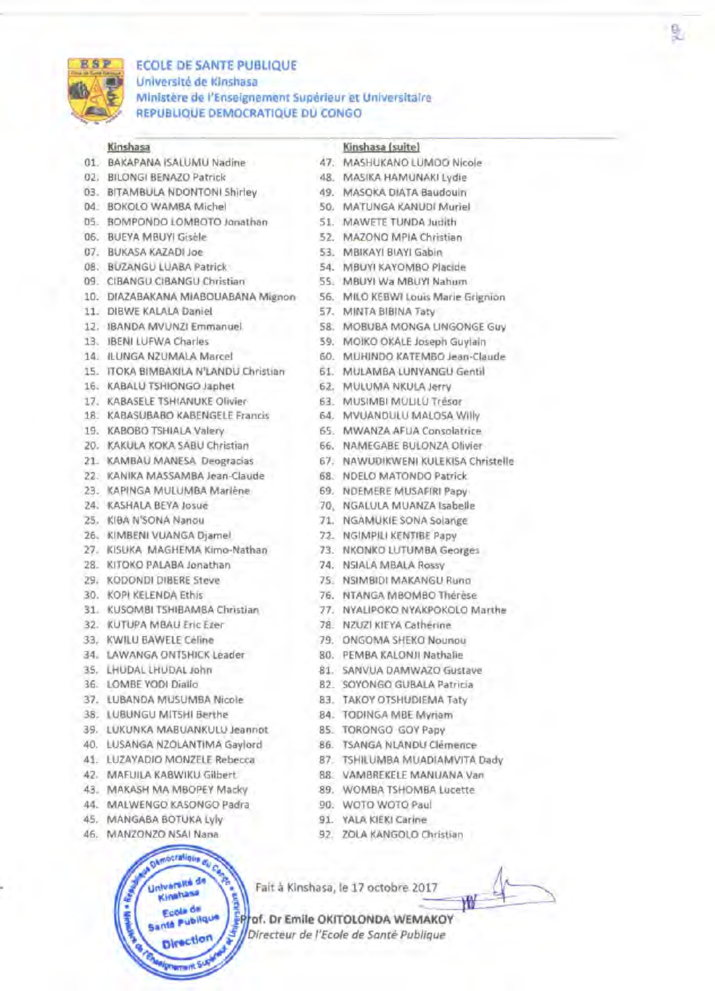

# **ECOLE DE SANTE PUBLIQUE Universite de Kinshasa Ministere de l'Enseignement Superieur et Universitaire REPUBLIQUE DEMOCRATIQUE DU CONGO**

- 01. BAKAPANA ISALUMU Nadine 47. MASHUKANO LUMOO Nicole
- 02. BILONGI BENAZO Patrick 48. MASIKA HAMUNAKI Lydie
- 03. BITAMBULA NDONTONI Shirley 49. MASOKA DIATA Baudouin
- 
- 05. BOMPONDO LOMBOTO Jonathan 51. MAWETE TUNDA Judith
- 
- 
- 
- 
- 
- 
- 
- 
- 
- 
- 16. KABALU TSHIONGO Japhet 62. MULUMA NKULA Jerry
- 
- 18. KABASUBABO KABENGELE Francis 64. MVUANDULU MALOSA Willy
- 
- 20. KAKULA KOKA SABU Christian 66. NAMEGABE BULONZA Olivier
- 
- 22. KANIKA MASSAMBA Jean-Claude 68. NDELO MATONDO Patrick
- 23. KAPINGA MULUMBA Marlene 69. NDEMERE MUSAFIRI Papy
- 
- 
- 
- 
- 
- 
- 
- 
- 32. KUTUPA MBAU Eric Ezer 78. NZUZI KIEYA Catherine
- 33. KWILU BAWELE Celine 79. ONGOMA SHEKO Nounou
- 34. LAWANGA ONTSHICK Leader 80. PEMBA KALONJI Nathalie
- 
- 
- 37. LUBANDA MUSUMBA Nicole 83. TAKOY OTSHUDIEMA Taty
- 38. LUBUNGU MITSHI Berthe 84. TODINGA MBE Myriam
- 39. LUKUNKA MABUANKULU Jeannot 85. TORONGO GOY Papy
- 40. LUSANGA NZOLANTIMA Gaylord 86. TSANGA NLANDU Clemence
- 41. LUZAYADIO MONZELE Rebecca 87. TSHILUMBA MUADIAMVITA Dady
- 42. MAFUILA KABWIKU Gilbert 88. VAMBREKELE MANUANA Van
- 43. MAKASH MA MBOPEY Macky 89. WOMBA TSHOMBA Lucette
- 44. MALWENGO KASONGO Padra 90. WOTO WOTO Paul
- 45. MANGABA BOTUKA Lyly 91. YALA KIEKI Carine
- 



## **Kinshasa Kinshasa (suite)**

- 
- 
- 
- 04. BOKOLO WAMBA Michel 50. MATUNGA KANUDI Muriel
	-
- 06. BUEYA MBUYI Gisele 52. MAZONO MPIA Christian
- 07. BUKASA KAZADI Joe 53. MBIKAYI BIAYI Gabin
- 08. BUZANGU LUABA Patrick 54. MBUYI KAYOMBO Placide
- 09. CIBANGU CIBANGU Christian 55. MBUYI Wa MBUYI Nahum
- 10. DIAZABAKANA MIABOUABANA Mignon 56. MILO KEBWI Louis Marie Grignion
- 11. DIBWE KALALA Daniel 57. MINTA BIBINA Taty
- 12. IBANDA MVUNZI Emmanuel 58. MOBUBA MONGA LlNGONGE Guy
- 13. IBENI LUFWA Charles 59. MOIKO OKALE Joseph Guylain
- 14. ILUNGA NZUMALA Marcel 60. MUHINDO KATEMBO Jean-Claude
- 15. ITOKA BIMBAKILA N'LANDU Christian 61. MULAMBA LUNYANGU Gentil
	-
- 17. KABASELETSHIANUKE Olivier 63. MUSIMBI MULILU Tresor
	-
- 19. KABOBO TSHIALA Valery 65. MWANZA AFUA Consolatrice
	-
- 21. KAMBAU MANESA Deogracias 67. NAWUDIKWENI KULEKISA Christelle
	-
	-
- 24. KASHALA BEYAJosue 70, NGALULA MUANZA Isabelle
- 25. KIBA N'SONA Nanou 71. NGAMUKIE SONA Solange
- 26. KIMBENI VUANGA Djamel 72. NGIMPILI KENTIBE Papy
- 27. KISUKA MAGHEMA Kimo-Nathan 73. NKONKO LUTUMBA Georges
- 28. KITOKO PALABA Jonathan 74. NSIALA MBALA Rossy
- 29. KODONDI DIBERE Steve 75. NSIMBIDI MAKANGU Runo
- 30. KOPI KELENDA Ethis 76. NTANGA MBOMBO Therese
- 31. KUSOMBI TSHIBAMBA Christian 77. NYALIPOKO NYAKPOKOLO Marthe
	-
	-
	-
- 35. LHUDAL LHUDAL John 81. SANVUA DAMWAZO Gustave
- 36. LOMBE YODI Diallo 82. SOYONGO GUBALA Patricia
	-
	-
	-
	-
	-
	-
	-
	-
	-
- 46. MANZONZO NSAI Nana 92. ZOLA KANGOLO Christian

Fait à Kinshasa, le 17 octobre 2017

 $\frac{1}{10}$ 

**of. Dr Emile OKITOLONDA WEMAKOY** *Directeur de l'Ecole de Sante Publique*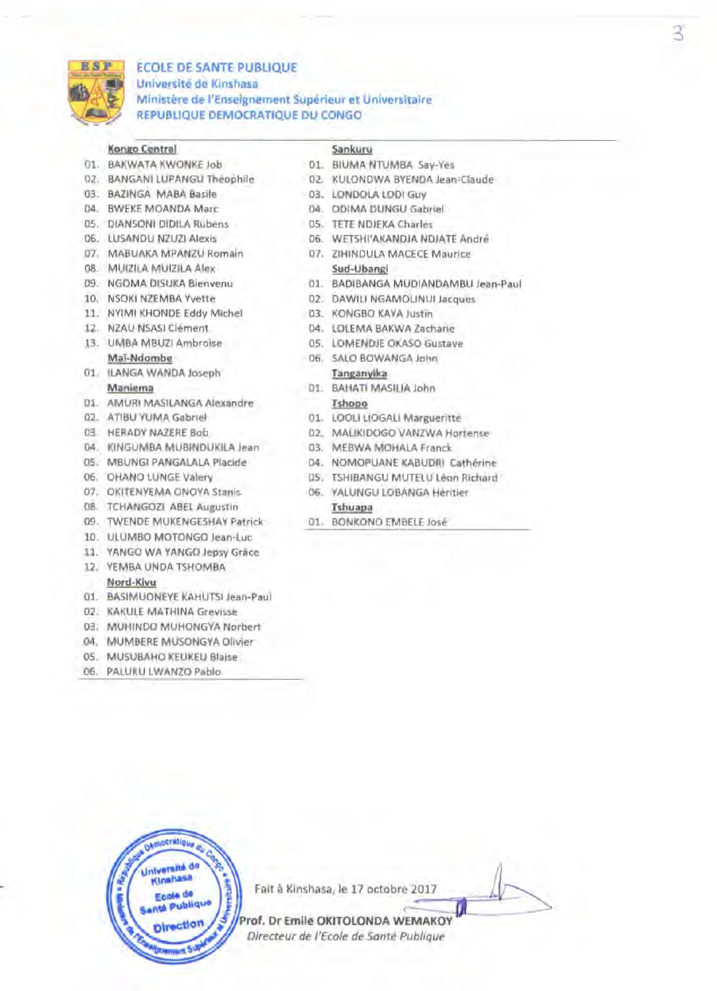

## ECOLE DE SANTE PUBLIQUE unlverslte de Kinshasa Ministere de J'Enseignement Superieur et Universitaire REPUBLIQUE DEMOCRATIQUE DU CONGO

## Kongo Central Sankuru

- 01. BAKWATA KWONKE Job 01. BIUMA NTUMBA Say-Yes
- 
- 
- 
- 
- 
- 
- 08. MUIZILA MUIZILA Alex Sud-Ubangi
- 
- 
- 11. NYIMI KHONDE Eddy Michel 03. KONGBO KAYA Justin
- 
- 
- 01. ILANGA WANDA Joseph Tanganyika
- 01. AMURI MASILANGA Alexandre Tshopo
- 
- 
- 04. KINGUMBA MUBINDUKILA Jean 03. MEBWA MOHALA Franck
- 
- 
- 07. OKITENYEMA ONOYA Stanis 06. YAlUNGU LOBANGA Heritier
- 08. TCHANGOZI ABEL Augustin Tshuapa
- 09. TWENDE MUKENGESHAY Patrick 01. BONKONO EMBElE Jose
- 10. UlUMBO MOTONGO Jean-luc
- 11. YANGO WA YANGO Jepsy Grace
- 12. YEMBA UNDA TSHOMBA

### Nord-Kivu

- 01. BASIMUONEYE KAHUTSI Jean-Paul
- 02. KAKUlE MATHINA Grevisse
- 03. MUHINDO MUHONGYA Norbert
- 04. MUMBERE MUSONGYA Olivier
- OS. MUSUBAHO KEUKEU Blaise
- 06. PAlUKU lWANZO Pablo

- 
- 02. BANGANI LUPANGU Theophile 02. KULONDWA BYENDA Jean-Claude
- 03. BAZINGA MABA Basile 03. LONDOLA LODI Guy
- 04. BWEKE MOANDA Marc 04. ODIMA DUNGU Gabriel
- OS. DlANSONI DIDILA Rubens OS. TETE NDJEKA Charles
- 06. lUSANDU NZUZI Alexis 06. WETSHI'AKANDJA NDJATE Andre
- 07. MABUAKA MPANZU Romain 07. ZIHINDULA MACECE Maurice
- 09. NGOMA DISUKA Bienvenu 01. BADIBANGA MUDIANDAMBU Jean-Paul
- 10. NSOKI NZEMBA Yvette 02. DAWILI NGAMOLINUI Jacques
	-
- 12. NZAU NSASI Clement 04. LOlEMA BAKWA Zacharie
- 13. UMBA MBUZI Ambroise 05. LOMENDJE OKASO Gustave
	- Mai-Ndombe 06. SALO BOWANGA John
	- Maniema 01. BAHATI MASILIA John
- 02. ATIBU YUMA Gabriel 01. LOOLI LIOGALI Margueritte
- 03. HERADY NAZERE Bob 02. MALIKIDOGO VANZWA Hortense
	-
- OS. MBUNGI PANGALALA Placide 04. NOMOPUANE KABUDRI Catherine
- 06. OHANO LUNGE Valery OS. TSHIBANGU MUTELU Leon Richard
	-

Prof. Dr Emile OKITOLONDA WEMAKOY *Directeur de I'Ecole de Sante Publique*

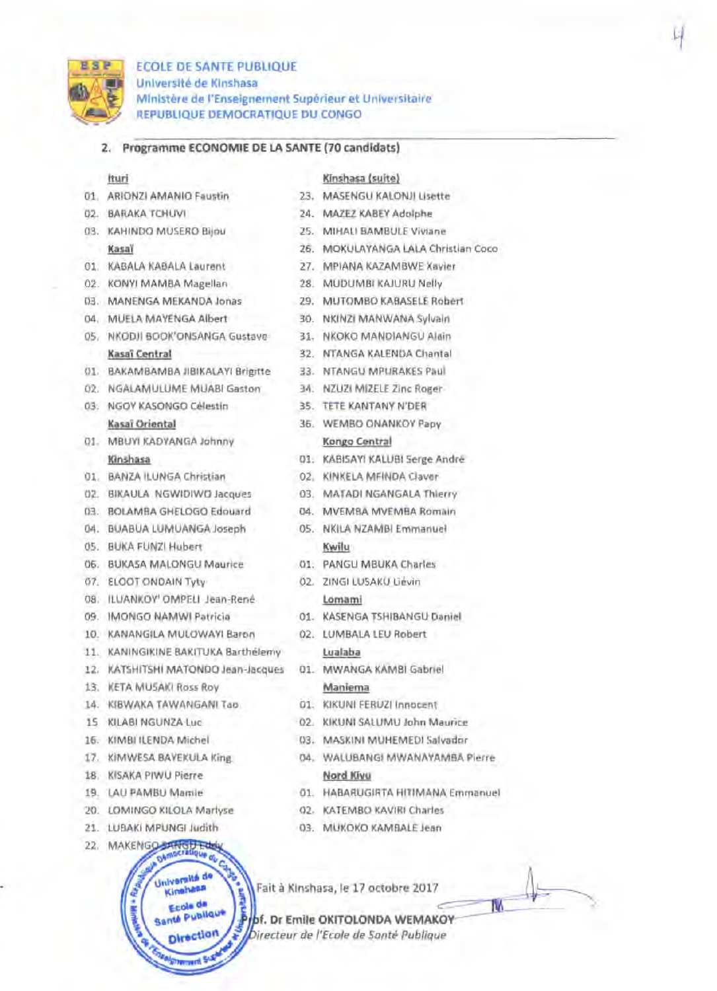

# ECOLE DE SANTE PUBLIQUE Universite de Kinshasa Ministere de l'Enseignement Superieur et Universitaire REPUBLIQUE DEMOCRATIQUE DU CONGO

## 2. Programme ECONOMIE DE LA SANTE (70 candidats)

### Ituri

- 01. ARIONZI AMANIO Faustin
- 02. BARAKA TCHUVI
- 03. KAHINDO MUSERO Bijou Kasai
- 01. KABALA KABALA Laurent
- 02. KONYI MAMBA Magellan
- 03. MANENGA MEKANDA Jonas
- 04. MUELA MAYENGA Albert
- OS. NKODJI BOOK'ONSANGA Gustave Kasai Central
- 01. BAKAMBAMBA JIBIKALAYI Brigitte
- 02. NGALAMULUME MUABI Gaston
- 03. NGOY KASONGO Celestin Kasai Oriental
- 01. MBUYI KADYANGA Johnny Kinshasa
- 01. BANZA ILUNGA Christian
- 02. BIKAULA NGWIDIWO Jacques
- 03. BOLAMBA GHELOGO Edouard
- 04. BUABUA LUMUANGA Joseph
- OS. BUKA FUNZI Hubert
- 06. BUKASA MALONGU Maurice
- 07. ELOOT ONDAIN Tyty
- *OB.* ILUANKOY' OMPELI Jean-Rene
- 09. IMONGO NAMWI Patricia
- 10. KANANGILA MULOWAYI Baron
- 11. KANINGIKINE BAKITUKA Barthelemy
- 12. KATSHITSHI MATONDO Jean-Jacques
- 13. KETA MUSAKI Ross Roy
- 14. KIBWAKA TAWANGANI Tao
- 15 KILABI NGUNZA Luc
- 16. KIMBIILENDA Michel
- 17. KIMWESA BAYEKULA King
- is. KISAKA PIWU Pierre
- 19. LAU PAMBU Mamie
- 20. LOMINGO KILOLA Martyse
- 21. LUBAKI MPUNGI Judith
- 22. MAKENGO



### Kinshasa (suite)

- 23. MASENGU KALONJI Lisette
- 24. MAZEZ KABEYAdolphe
- 25. MIHALI BAMBULE Viviane
- 26. MOKULAYANGA LALA Christian Coco
- 27. MPIANA KAZAMBWE Xavier
- *2B.* MUDUMBI KAJURU Nelly
- 29. MUTOMBO KABASELE Robert
- 30. NKINZI MANWANA Sylvain
- 31. NKOKO MANDIANGU Alain
- 32. NTANGA KALENDA Chantal
- 33. NTANGU MPURAKES Paul
- 34. NZUZI MIZELE Zinc Roger
- 35. TETE KANTANY N'DER
- 36. WEMBO ONANKOY Papy Kongo Central
- 01. KABISAYI KALUBI Serge Andre
- 02. KINKELA MFINDA Claver
- 03. MATADI NGANGALA Thierry
- 04. MVEMBA MVEMBA Romain
- OS. NKILA NZAMBI Emmanuel Kwilu
- 01. PANGU MBUKA Charles
- 02. ZINGI LUSAKU Lievin lomami
- 01. KASENGA TSHIBANGU Daniel
- 02. LUMBALA LEU Robert lualaba
- 01. MWANGA KAMBI Gabriel Maniema
- 01. KIKUNI FERUZI Innocent
- 02. KIKUNI SALUMU John Maurice
- 03. MASKINI MUHEMEDI Salvador
- 04. WALUBANGI MWANAYAMBA Pierre Nord Kivu
- 01. HABARUGIRTA HITIMANA Emmanuel
- 02. KATEMBO KAVIRI Charles
- 03. MUKOKO KAMBALE Jean

Fait à Kinshasa, le 17 octobre 2017

**bf. Dr Emile OKITOLONDA WEMAKOY** *irecteur de I'Ecole de Sante PubJique*

IW